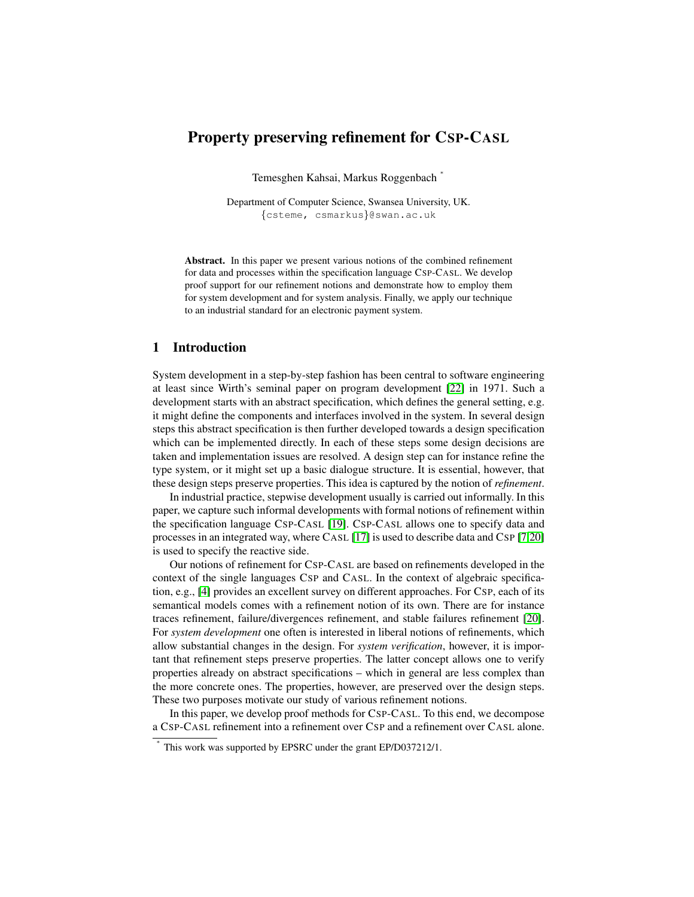# Property preserving refinement for CSP-CASL

Temesghen Kahsai, Markus Roggenbach <sup>∗</sup>

Department of Computer Science, Swansea University, UK. {csteme, csmarkus}@swan.ac.uk

Abstract. In this paper we present various notions of the combined refinement for data and processes within the specification language CSP-CASL. We develop proof support for our refinement notions and demonstrate how to employ them for system development and for system analysis. Finally, we apply our technique to an industrial standard for an electronic payment system.

# 1 Introduction

∗

System development in a step-by-step fashion has been central to software engineering at least since Wirth's seminal paper on program development [\[22\]](#page-14-0) in 1971. Such a development starts with an abstract specification, which defines the general setting, e.g. it might define the components and interfaces involved in the system. In several design steps this abstract specification is then further developed towards a design specification which can be implemented directly. In each of these steps some design decisions are taken and implementation issues are resolved. A design step can for instance refine the type system, or it might set up a basic dialogue structure. It is essential, however, that these design steps preserve properties. This idea is captured by the notion of *refinement*.

In industrial practice, stepwise development usually is carried out informally. In this paper, we capture such informal developments with formal notions of refinement within the specification language CSP-CASL [\[19\]](#page-14-1). CSP-CASL allows one to specify data and processes in an integrated way, where CASL [\[17\]](#page-14-2) is used to describe data and CSP [\[7](#page-14-3)[,20\]](#page-14-4) is used to specify the reactive side.

Our notions of refinement for CSP-CASL are based on refinements developed in the context of the single languages CSP and CASL. In the context of algebraic specification, e.g., [\[4\]](#page-14-5) provides an excellent survey on different approaches. For CSP, each of its semantical models comes with a refinement notion of its own. There are for instance traces refinement, failure/divergences refinement, and stable failures refinement [\[20\]](#page-14-4). For *system development* one often is interested in liberal notions of refinements, which allow substantial changes in the design. For *system verification*, however, it is important that refinement steps preserve properties. The latter concept allows one to verify properties already on abstract specifications – which in general are less complex than the more concrete ones. The properties, however, are preserved over the design steps. These two purposes motivate our study of various refinement notions.

In this paper, we develop proof methods for CSP-CASL. To this end, we decompose a CSP-CASL refinement into a refinement over CSP and a refinement over CASL alone.

This work was supported by EPSRC under the grant EP/D037212/1.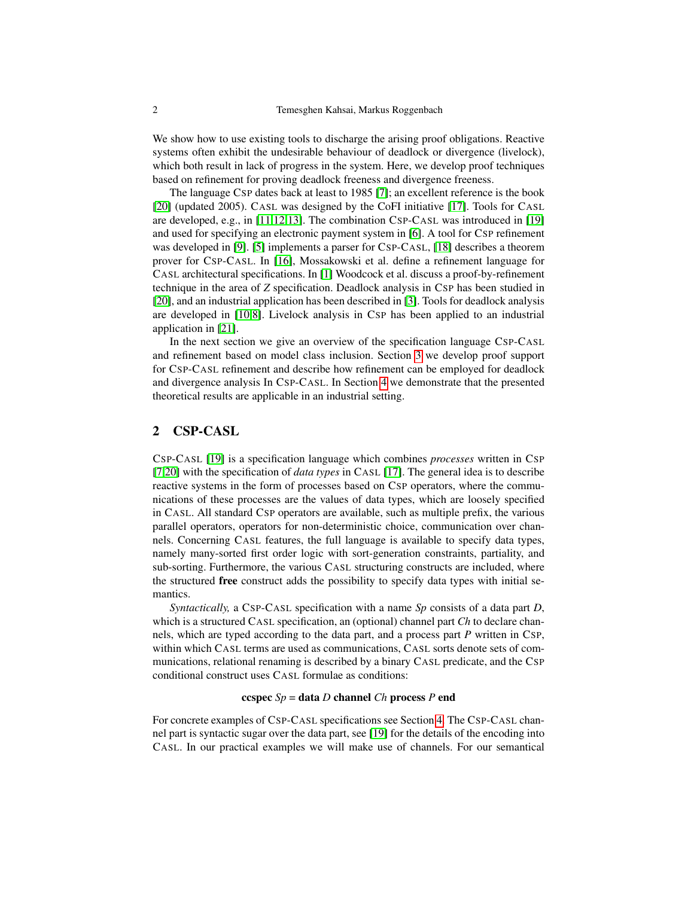We show how to use existing tools to discharge the arising proof obligations. Reactive systems often exhibit the undesirable behaviour of deadlock or divergence (livelock), which both result in lack of progress in the system. Here, we develop proof techniques based on refinement for proving deadlock freeness and divergence freeness.

The language CSP dates back at least to 1985 [\[7\]](#page-14-3); an excellent reference is the book [\[20\]](#page-14-4) (updated 2005). CASL was designed by the CoFI initiative [\[17\]](#page-14-2). Tools for CASL are developed, e.g., in [\[11](#page-14-6)[,12](#page-14-7)[,13\]](#page-14-8). The combination CSP-CASL was introduced in [\[19\]](#page-14-1) and used for specifying an electronic payment system in [\[6\]](#page-14-9). A tool for CSP refinement was developed in [\[9\]](#page-14-10). [\[5\]](#page-14-11) implements a parser for CSP-CASL, [\[18\]](#page-14-12) describes a theorem prover for CSP-CASL. In [\[16\]](#page-14-13), Mossakowski et al. define a refinement language for CASL architectural specifications. In [\[1\]](#page-14-14) Woodcock et al. discuss a proof-by-refinement technique in the area of *Z* specification. Deadlock analysis in CSP has been studied in [\[20\]](#page-14-4), and an industrial application has been described in [\[3\]](#page-14-15). Tools for deadlock analysis are developed in [\[10,](#page-14-16)[8\]](#page-14-17). Livelock analysis in CSP has been applied to an industrial application in [\[21\]](#page-14-18).

In the next section we give an overview of the specification language CSP-CASL and refinement based on model class inclusion. Section [3](#page-3-0) we develop proof support for CSP-CASL refinement and describe how refinement can be employed for deadlock and divergence analysis In CSP-CASL. In Section [4](#page-9-0) we demonstrate that the presented theoretical results are applicable in an industrial setting.

# 2 CSP-CASL

CSP-CASL [\[19\]](#page-14-1) is a specification language which combines *processes* written in CSP [\[7,](#page-14-3)[20\]](#page-14-4) with the specification of *data types* in CASL [\[17\]](#page-14-2). The general idea is to describe reactive systems in the form of processes based on CSP operators, where the communications of these processes are the values of data types, which are loosely specified in CASL. All standard CSP operators are available, such as multiple prefix, the various parallel operators, operators for non-deterministic choice, communication over channels. Concerning CASL features, the full language is available to specify data types, namely many-sorted first order logic with sort-generation constraints, partiality, and sub-sorting. Furthermore, the various CASL structuring constructs are included, where the structured free construct adds the possibility to specify data types with initial semantics.

*Syntactically,* a CSP-CASL specification with a name *Sp* consists of a data part *D*, which is a structured CASL specification, an (optional) channel part *Ch* to declare channels, which are typed according to the data part, and a process part *P* written in CSP, within which CASL terms are used as communications, CASL sorts denote sets of communications, relational renaming is described by a binary CASL predicate, and the CSP conditional construct uses CASL formulae as conditions:

## ccspec *Sp* = data *D* channel *Ch* process *P* end

For concrete examples of CSP-CASL specifications see Section [4.](#page-9-0) The CSP-CASL channel part is syntactic sugar over the data part, see [\[19\]](#page-14-1) for the details of the encoding into CASL. In our practical examples we will make use of channels. For our semantical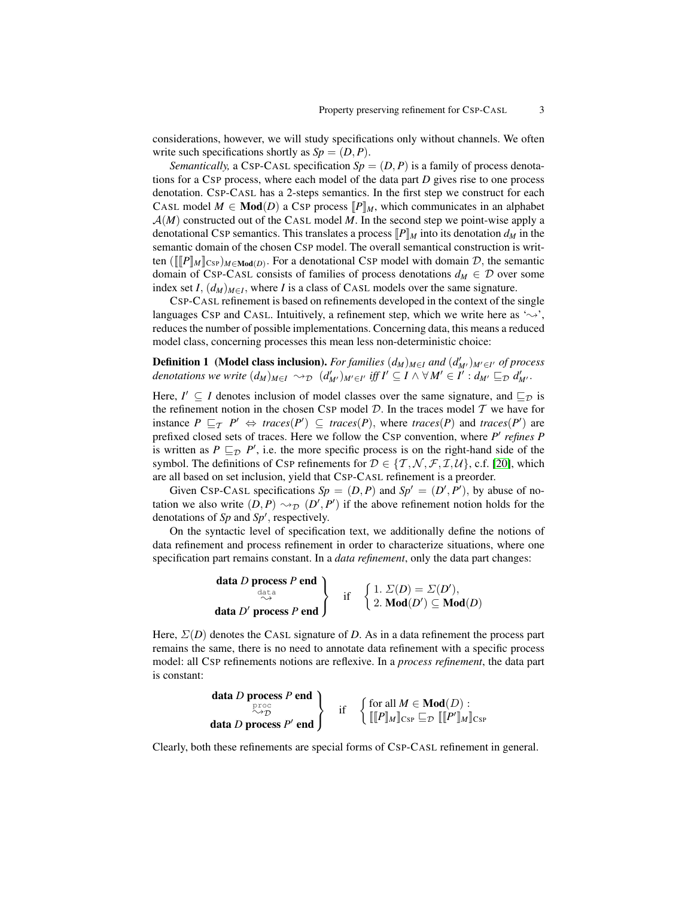considerations, however, we will study specifications only without channels. We often write such specifications shortly as  $Sp = (D, P)$ .

*Semantically,* a CSP-CASL specification  $Sp = (D, P)$  is a family of process denotations for a CSP process, where each model of the data part *D* gives rise to one process denotation. CSP-CASL has a 2-steps semantics. In the first step we construct for each CASL model  $M \in \text{Mod}(D)$  a CSP process  $[P]_M$ , which communicates in an alphabet  $A(M)$  constructed out of the CASL model M. In the second step we point-wise apply a denotational CSP semantics. This translates a process  $[P]_M$  into its denotation  $d_M$  in the semantic domain of the chosen CSP model. The overall semantical construction is written  $([[P]_M]_{CSP})_{M \in \mathbf{Mod}(D)}$ . For a denotational CSP model with domain  $D$ , the semantic domain of CSP-CASL consists of families of process denotations  $d_M \in \mathcal{D}$  over some index set *I*,  $(d_M)_{M \in I}$ , where *I* is a class of CASL models over the same signature.

CSP-CASL refinement is based on refinements developed in the context of the single languages CSP and CASL. Intuitively, a refinement step, which we write here as ' $\sim$ ', reduces the number of possible implementations. Concerning data, this means a reduced model class, concerning processes this mean less non-deterministic choice:

<span id="page-2-0"></span>Definition 1 (Model class inclusion). *For families*  $(d_M)_{M \in I}$  *and*  $(d'_{M'})_{M' \in I'}$  *of process denotations we write*  $(d_M)_{M \in I} \leadsto_{\mathcal{D}} (d'_{M'})_{M' \in I'}$  *iff*  $I' \subseteq I \land \forall M' \in I' : d_{M'} \sqsubseteq_{\mathcal{D}} d'_{M'}$ .

Here,  $I' \subseteq I$  denotes inclusion of model classes over the same signature, and  $\subseteq_{\mathcal{D}}$  is the refinement notion in the chosen CSP model  $D$ . In the traces model  $T$  we have for instance  $P \sqsubseteq_T P' \Leftrightarrow$  *traces*(*P'*)  $\subseteq$  *traces*(*P*), where *traces*(*P*) and *traces*(*P'*) are prefixed closed sets of traces. Here we follow the CSP convention, where P' refines P is written as  $P \sqsubseteq_{\mathcal{D}} P'$ , i.e. the more specific process is on the right-hand side of the symbol. The definitions of CsP refinements for  $D \in \{T, N, \mathcal{F}, \mathcal{I}, \mathcal{U}\}\)$ , c.f. [\[20\]](#page-14-4), which are all based on set inclusion, yield that CSP-CASL refinement is a preorder.

Given CSP-CASL specifications  $Sp = (D, P)$  and  $Sp' = (D', P')$ , by abuse of notation we also write  $(D, P) \rightsquigarrow_{\mathcal{D}} (D', P')$  if the above refinement notion holds for the denotations of  $Sp$  and  $Sp'$ , respectively.

On the syntactic level of specification text, we additionally define the notions of data refinement and process refinement in order to characterize situations, where one specification part remains constant. In a *data refinement*, only the data part changes:

$$
\left\{\n \begin{array}{c}\n \text{data } D \text{ process } P \text{ end} \\
 \text{data } D' \text{ process } P \text{ end}\n \end{array}\n \right\}\n \quad \text{if} \quad\n \left\{\n \begin{array}{c}\n 1. \ \Sigma(D) = \Sigma(D'), \\
 2. \ \text{Mod}(D') \subseteq \text{Mod}(D)\n \end{array}\n \right.
$$

Here,  $\Sigma(D)$  denotes the CASL signature of *D*. As in a data refinement the process part remains the same, there is no need to annotate data refinement with a specific process model: all CSP refinements notions are reflexive. In a *process refinement*, the data part is constant:

$$
\left\{\begin{array}{l}\text{data } D \text{ process } P \text{ end } \\ \stackrel{\text{proc}}{\sim p} \\ \text{data } D \text{ process } P' \text{ end}\end{array}\right\} \quad \text{if} \quad \left\{\begin{array}{l}\text{for all } M \in \text{Mod}(D) : \\ \left[\llbracket P \rrbracket_M \rrbracket_{\text{CSP}} \sqsubseteq_{\mathcal{D}} \left[\llbracket P' \rrbracket_M \rrbracket_{\text{CSP}}\right]\end{array}\right.
$$

Clearly, both these refinements are special forms of CSP-CASL refinement in general.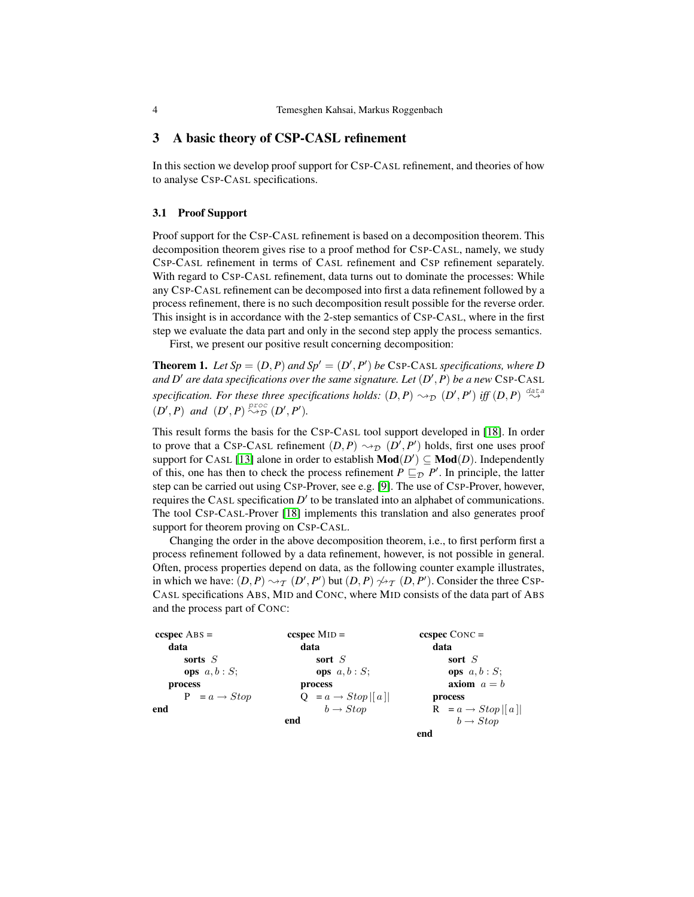# <span id="page-3-0"></span>3 A basic theory of CSP-CASL refinement

In this section we develop proof support for CSP-CASL refinement, and theories of how to analyse CSP-CASL specifications.

### 3.1 Proof Support

Proof support for the CSP-CASL refinement is based on a decomposition theorem. This decomposition theorem gives rise to a proof method for CSP-CASL, namely, we study CSP-CASL refinement in terms of CASL refinement and CSP refinement separately. With regard to CSP-CASL refinement, data turns out to dominate the processes: While any CSP-CASL refinement can be decomposed into first a data refinement followed by a process refinement, there is no such decomposition result possible for the reverse order. This insight is in accordance with the 2-step semantics of CSP-CASL, where in the first step we evaluate the data part and only in the second step apply the process semantics.

<span id="page-3-1"></span>First, we present our positive result concerning decomposition:

**Theorem 1.** Let  $Sp = (D, P)$  and  $Sp' = (D', P')$  be CSP-CASL specifications, where D *and D'* are data specifications over the same signature. Let  $(D', P)$  be a new CSP-CASL specification. For these three specifications holds:  $(D, P) \rightsquigarrow_{\mathcal{D}} (D', P')$  iff  $(D, P) \stackrel{\text{data}}{\leadsto}$  $(D', P)$  and  $(D', P) \stackrel{proc}{\leadsto} D(D', P').$ 

This result forms the basis for the CSP-CASL tool support developed in [\[18\]](#page-14-12). In order to prove that a CSP-CASL refinement  $(D, P) \rightsquigarrow_{\mathcal{D}} (D', P')$  holds, first one uses proof support for CASL [\[13\]](#page-14-8) alone in order to establish  $\text{Mod}(D') \subseteq \text{Mod}(D)$ . Independently of this, one has then to check the process refinement  $P \sqsubseteq_{\mathcal{D}} P'$ . In principle, the latter step can be carried out using CSP-Prover, see e.g. [\[9\]](#page-14-10). The use of CSP-Prover, however, requires the CASL specification  $D'$  to be translated into an alphabet of communications. The tool CSP-CASL-Prover [\[18\]](#page-14-12) implements this translation and also generates proof support for theorem proving on CSP-CASL.

Changing the order in the above decomposition theorem, i.e., to first perform first a process refinement followed by a data refinement, however, is not possible in general. Often, process properties depend on data, as the following counter example illustrates, in which we have:  $(D, P) \rightsquigarrow_{\mathcal{T}} (D', P')$  but  $(D, P) \not\rightsquigarrow_{\mathcal{T}} (D, P')$ . Consider the three Csp-CASL specifications ABS, MID and CONC, where MID consists of the data part of ABS and the process part of CONC:

| $ccspec$ ABS =           | $ccspec MID =$                       | $ccspec$ CONC =                |
|--------------------------|--------------------------------------|--------------------------------|
| data                     | data                                 | data                           |
| sorts $S$                | sort $S$                             | sort $S$                       |
| <b>ops</b> $a, b : S$ ;  | <b>ops</b> $a, b : S$ ;              | <b>ops</b> $a, b : S$ ;        |
| process                  | process                              | axiom $a = b$                  |
| $P = a \rightarrow Stop$ | $Q = a \rightarrow Stop \mid a \mid$ | process                        |
| end                      | $b \rightarrow Stov$                 | $R = a \rightarrow Stop  [a] $ |
|                          | end                                  | $b \rightarrow Stop$           |
|                          |                                      | end                            |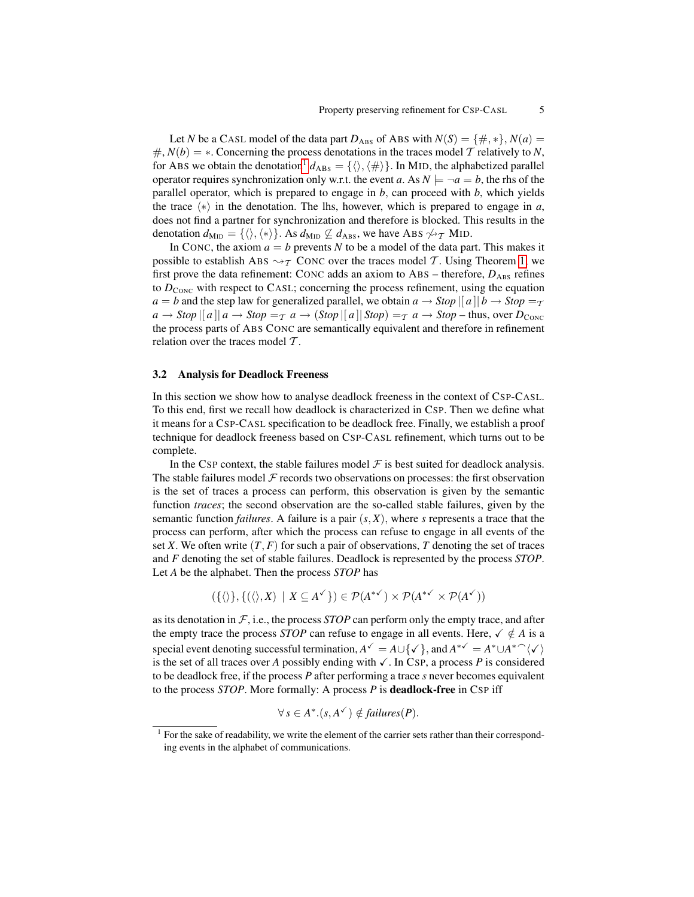Let *N* be a CASL model of the data part  $D_{\text{ABS}}$  of ABS with  $N(S) = \{\#, *\}, N(a) =$  $\#$ ,  $N(b) = *$ . Concerning the process denotations in the traces model T relatively to N, for ABS we obtain the denotation<sup>[1](#page-4-0)</sup>  $d_{\text{ABS}} = \{ \langle \rangle, \langle \# \rangle \}$ . In MID, the alphabetized parallel operator requires synchronization only w.r.t. the event *a*. As  $N \models \neg a = b$ , the rhs of the parallel operator, which is prepared to engage in *b*, can proceed with *b*, which yields the trace  $\langle \ast \rangle$  in the denotation. The lhs, however, which is prepared to engage in *a*, does not find a partner for synchronization and therefore is blocked. This results in the denotation  $d_{\text{MID}} = \{\langle \rangle, \langle * \rangle\}$ . As  $d_{\text{MID}} \not\subseteq d_{\text{ABS}}$ , we have ABS  $\not\sim_{\mathcal{T}}$  MID.

In CONC, the axiom  $a = b$  prevents N to be a model of the data part. This makes it possible to establish ABS  $\rightsquigarrow$  T CONC over the traces model T. Using Theorem [1,](#page-3-1) we first prove the data refinement: CONC adds an axiom to ABS – therefore,  $D_{\text{ABS}}$  refines to  $D_{\text{CONC}}$  with respect to CASL; concerning the process refinement, using the equation *a* = *b* and the step law for generalized parallel, we obtain  $a \rightarrow Stop || a || b \rightarrow Stop = T$  $a \rightarrow Stop \mid a \mid a \rightarrow Stop = \tau a \rightarrow (Stop \mid a \mid Stop) = \tau a \rightarrow Stop - thus, over D_{CONC}$ the process parts of ABS CONC are semantically equivalent and therefore in refinement relation over the traces model  $T$ .

#### <span id="page-4-1"></span>3.2 Analysis for Deadlock Freeness

In this section we show how to analyse deadlock freeness in the context of CSP-CASL. To this end, first we recall how deadlock is characterized in CSP. Then we define what it means for a CSP-CASL specification to be deadlock free. Finally, we establish a proof technique for deadlock freeness based on CSP-CASL refinement, which turns out to be complete.

In the CSP context, the stable failures model  $\mathcal F$  is best suited for deadlock analysis. The stable failures model  $\mathcal F$  records two observations on processes: the first observation is the set of traces a process can perform, this observation is given by the semantic function *traces*; the second observation are the so-called stable failures, given by the semantic function *failures*. A failure is a pair  $(s, X)$ , where *s* represents a trace that the process can perform, after which the process can refuse to engage in all events of the set *X*. We often write  $(T, F)$  for such a pair of observations, *T* denoting the set of traces and *F* denoting the set of stable failures. Deadlock is represented by the process *STOP*. Let *A* be the alphabet. Then the process *STOP* has

$$
(\{\langle\rangle\}, \{(\langle\rangle, X) \mid X \subseteq A^{\checkmark}\}) \in \mathcal{P}(A^{*\checkmark}) \times \mathcal{P}(A^{*\checkmark} \times \mathcal{P}(A^{\checkmark}))
$$

as its denotation in  $F$ , i.e., the process *STOP* can perform only the empty trace, and after the empty trace the process *STOP* can refuse to engage in all events. Here,  $\checkmark \notin A$  is a special event denoting successful termination,  $A^{\checkmark} = A \cup {\checkmark}$ , and  $A^{*\checkmark} = A^* \cup A^* \cap {\checkmark}$ is the set of all traces over *A* possibly ending with  $\checkmark$ . In CSP, a process *P* is considered to be deadlock free, if the process *P* after performing a trace *s* never becomes equivalent to the process *STOP*. More formally: A process *P* is deadlock-free in CSP iff

$$
\forall s \in A^*. (s, A^{\checkmark}) \notin failures(P).
$$

<span id="page-4-0"></span> $1$  For the sake of readability, we write the element of the carrier sets rather than their corresponding events in the alphabet of communications.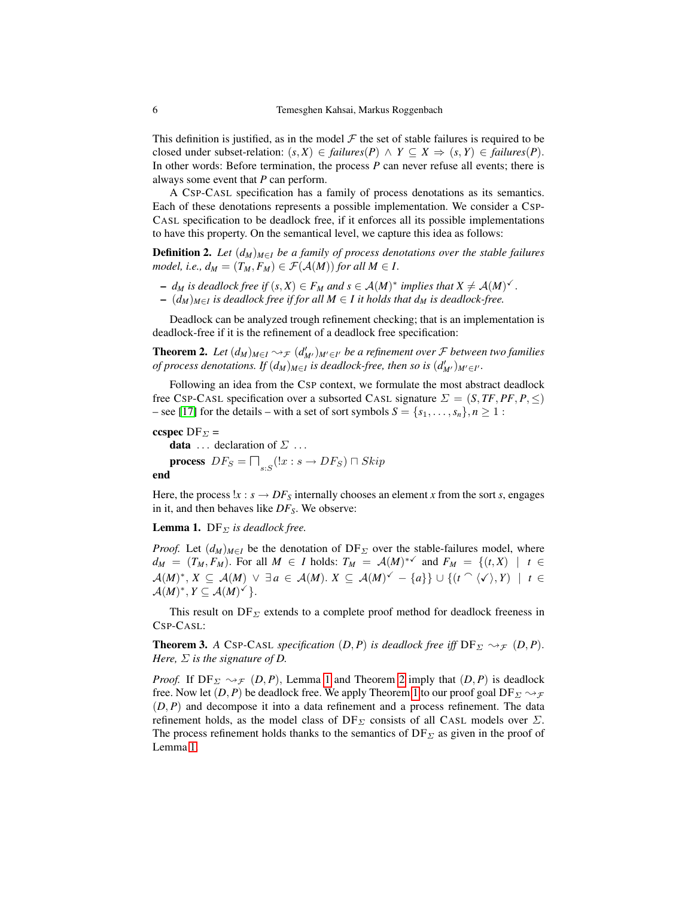This definition is justified, as in the model  $\mathcal F$  the set of stable failures is required to be closed under subset-relation:  $(s, X) \in failures(P) \land Y \subseteq X \Rightarrow (s, Y) \in failures(P)$ . In other words: Before termination, the process *P* can never refuse all events; there is always some event that *P* can perform.

A CSP-CASL specification has a family of process denotations as its semantics. Each of these denotations represents a possible implementation. We consider a CSP-CASL specification to be deadlock free, if it enforces all its possible implementations to have this property. On the semantical level, we capture this idea as follows:

**Definition 2.** Let  $(d_M)_{M \in I}$  be a family of process denotations over the stable failures *model, i.e.,*  $d_M = (T_M, F_M) \in \mathcal{F}(\mathcal{A}(M))$  *for all*  $M \in I$ .

- $\vdash d_M$  *is deadlock free if*  $(s, X) \in F_M$  *and*  $s \in A(M)^*$  *implies that*  $X \neq A(M)^*$ .
- <span id="page-5-1"></span> $\sim$   $(d_M)_{M \in I}$  is deadlock free if for all  $M \in I$  it holds that  $d_M$  is deadlock-free.

Deadlock can be analyzed trough refinement checking; that is an implementation is deadlock-free if it is the refinement of a deadlock free specification:

**Theorem 2.** Let  $(d_M)_{M \in I} \rightsquigarrow_{\mathcal{F}} (d_M')_{M' \in I'}$  be a refinement over  $\mathcal F$  between two families *of process denotations. If*  $(d_M)_{M \in I}$  *is deadlock-free, then so is*  $(d'_{M'})_{M' \in I'}$ .

Following an idea from the CSP context, we formulate the most abstract deadlock free CSP-CASL specification over a subsorted CASL signature  $\Sigma = (S, TF, PF, P, \leq)$ – see [\[17\]](#page-14-2) for the details – with a set of sort symbols  $S = \{s_1, \ldots, s_n\}, n \ge 1$ :

ccspec DF $_{\Sigma}$  = **data** ... declaration of  $\Sigma$  ... **process**  $DF_S = \prod_{s:S} (x : s \rightarrow DF_S) \sqcap Skip$ end

<span id="page-5-0"></span>Here, the process  $x : s \to DF_S$  internally chooses an element *x* from the sort *s*, engages in it, and then behaves like *DFS*. We observe:

**Lemma 1.** DF $_{\Sigma}$  *is deadlock free.* 

*Proof.* Let  $(d_M)_{M \in I}$  be the denotation of DF<sub>Σ</sub> over the stable-failures model, where  $d_M = (T_M, F_M)$ . For all  $M \in I$  holds:  $T_M = \mathcal{A}(M)^*$  and  $F_M = \{(t, X) \mid t \in I\}$  $\mathcal{A}(M)^*, X \subseteq \mathcal{A}(M) \vee \exists a \in \mathcal{A}(M)$ .  $X \subseteq \mathcal{A}(M)^{\checkmark} - \{a\}\} \cup \{(t \cap \langle \checkmark \rangle, Y) \mid t \in$  $\mathcal{A}(M)^{*}, Y \subseteq \mathcal{A}(M)^{\checkmark}$ .

This result on  $DF_{\Sigma}$  extends to a complete proof method for deadlock freeness in CSP-CASL:

**Theorem 3.** *A* CSP-CASL *specification*  $(D, P)$  *is deadlock free iff*  $DF_{\Sigma} \rightsquigarrow_{\mathcal{F}} (D, P)$ . *Here,*  $\Sigma$  *is the signature of D.* 

*Proof.* If  $DF_{\Sigma} \rightsquigarrow_{\mathcal{F}} (D, P)$ , Lemma [1](#page-5-0) and Theorem [2](#page-5-1) imply that  $(D, P)$  is deadlock free. Now let  $(D, P)$  be deadlock free. We apply Theorem [1](#page-3-1) to our proof goal DF<sub> $\Sigma \rightsquigarrow_{\mathcal{F}}$ </sub> (*D*, *P*) and decompose it into a data refinement and a process refinement. The data refinement holds, as the model class of  $DF_\Sigma$  consists of all CASL models over  $\Sigma$ . The process refinement holds thanks to the semantics of  $DF_\Sigma$  as given in the proof of Lemma [1.](#page-5-0)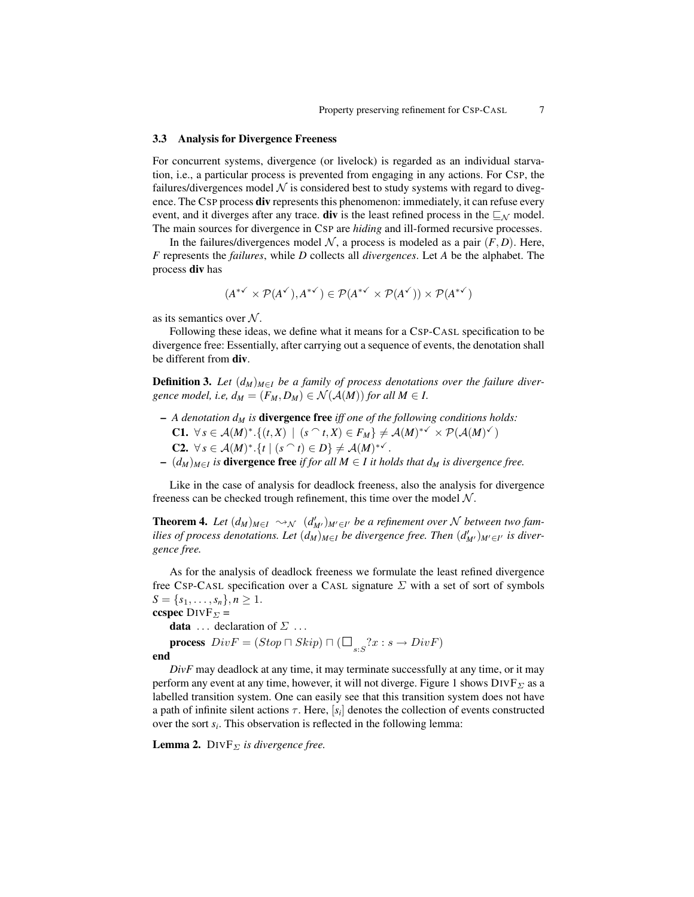#### <span id="page-6-2"></span>3.3 Analysis for Divergence Freeness

For concurrent systems, divergence (or livelock) is regarded as an individual starvation, i.e., a particular process is prevented from engaging in any actions. For CSP, the failures/divergences model  $\mathcal N$  is considered best to study systems with regard to divegence. The CSP process **div** represents this phenomenon: immediately, it can refuse every event, and it diverges after any trace. **div** is the least refined process in the  $\subseteq_{\mathcal{N}}$  model. The main sources for divergence in CSP are *hiding* and ill-formed recursive processes.

In the failures/divergences model  $N$ , a process is modeled as a pair  $(F, D)$ . Here, *F* represents the *failures*, while *D* collects all *divergences*. Let *A* be the alphabet. The process div has

$$
(A^{*\checkmark}\times\mathcal P(A^{\checkmark}),A^{*\checkmark})\in\mathcal P(A^{*\checkmark}\times\mathcal P(A^{\checkmark}))\times\mathcal P(A^{*\checkmark})
$$

as its semantics over  $N$ .

Following these ideas, we define what it means for a CSP-CASL specification to be divergence free: Essentially, after carrying out a sequence of events, the denotation shall be different from div.

**Definition 3.** Let  $(d_M)_{M \in I}$  be a family of process denotations over the failure diver*gence model, i.e,*  $d_M = (F_M, D_M) \in \mathcal{N}(\mathcal{A}(M))$  *for all*  $M \in I$ .

- *A denotation d<sup>M</sup> is* divergence free *iff one of the following conditions holds:* C1. ∀*s* ∈  $A(M)^*$ . {(*t*, *X*) | (*s*  $\cap$  *t*, *X*) ∈ *F<sub>M</sub>*}  $\neq$   $A(M)^*$   $\times$   $\mathcal{P}(A(M)^*)$ **C2.** ∀ *s* ∈  $A(M)^*$ .{*t* | (*s*  $\cap$ *t*) ∈ *D*}  $\neq$   $A(M)^*$ <sup> $\checkmark$ </sup>.
- $\sim$   $(d_M)_{M \in I}$  *is* **divergence free** *if for all M* ∈ *I it holds that*  $d_M$  *is divergence free.*

Like in the case of analysis for deadlock freeness, also the analysis for divergence freeness can be checked trough refinement, this time over the model  $N$ .

<span id="page-6-1"></span>**Theorem 4.** Let  $(d_M)_{M \in I} \leadsto_{\mathcal{N}} (d'_{M'})_{M' \in I'}$  be a refinement over  $\mathcal N$  between two fam*ilies of process denotations. Let*  $(d_M)_{M \in I}$  *be divergence free. Then*  $(d'_{M'})_{M' \in I'}$  *is divergence free.*

As for the analysis of deadlock freeness we formulate the least refined divergence free CSP-CASL specification over a CASL signature  $\Sigma$  with a set of sort of symbols  $S = \{s_1, \ldots, s_n\}, n \geq 1.$ 

ccspec  $\text{DIVF}_{\Sigma} =$ **data** ... declaration of  $\Sigma$  ... **process**  $Div F = (Stop \sqcap Skip) \sqcap (\Box_{s:S} ?x : s \rightarrow Div F)$ end

*DivF* may deadlock at any time, it may terminate successfully at any time, or it may perform any event at any time, however, it will not diverge. Figure 1 shows  $\text{DIVF}_{\Sigma}$  as a labelled transition system. One can easily see that this transition system does not have a path of infinite silent actions  $\tau$ . Here,  $[s_i]$  denotes the collection of events constructed over the sort *s<sup>i</sup>* . This observation is reflected in the following lemma:

<span id="page-6-0"></span>**Lemma 2.** DIVF $_{\Sigma}$  *is divergence free.*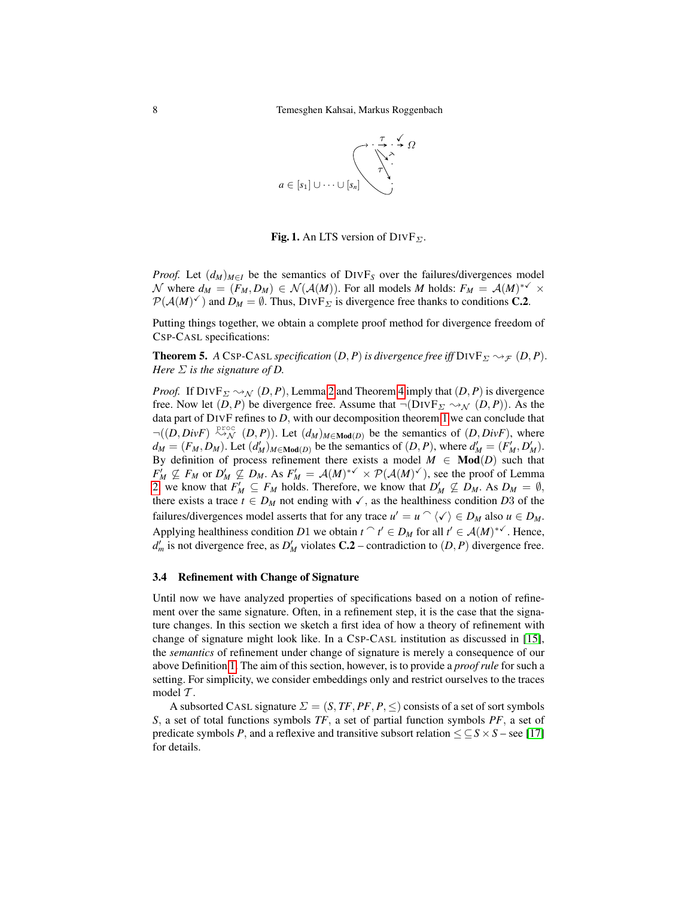

Fig. 1. An LTS version of  $DIVF_{\Sigma}$ .

*Proof.* Let  $(d_M)_{M \in I}$  be the semantics of DIVF<sub>S</sub> over the failures/divergences model N where  $d_M = (F_M, D_M) \in \mathcal{N}(\mathcal{A}(M))$ . For all models M holds:  $F_M = \mathcal{A}(M)^{*\checkmark} \times$  $P(A(M)^{\checkmark})$  and  $D_M = \emptyset$ . Thus,  $DivF_{\Sigma}$  is divergence free thanks to conditions **C.2**.

Putting things together, we obtain a complete proof method for divergence freedom of CSP-CASL specifications:

**Theorem 5.** *A* CSP-CASL *specification*  $(D, P)$  *is divergence free iff*  $\text{DIVF}_{\Sigma} \rightsquigarrow_{\mathcal{F}} (D, P)$ . *Here* Σ *is the signature of D.*

*Proof.* If  $DIVF_{\Sigma} \rightsquigarrow_{\mathcal{N}} (D, P)$ , Lemma [2](#page-6-0) and Theorem [4](#page-6-1) imply that  $(D, P)$  is divergence free. Now let  $(D, P)$  be divergence free. Assume that  $\neg(DIVF_{\Sigma} \rightsquigarrow_{\mathcal{N}} (D, P))$ . As the data part of DIVF refines to *D*, with our decomposition theorem [1](#page-3-1) we can conclude that  $\neg((D, DivF) \stackrel{\text{proc}}{\rightsquigarrow} (D, P)).$  Let  $(d_M)_{M \in \text{Mod}(D)}$  be the semantics of  $(D, DivF)$ , where  $d_M = (F_M, D_M)$ . Let  $(d'_M)_{M \in \text{Mod}(D)}$  be the semantics of  $(D, P)$ , where  $d'_M = (F'_M, D'_M)$ . By definition of process refinement there exists a model  $M \in Mod(D)$  such that  $F'_M \nsubseteq F_M$  or  $D'_M \nsubseteq D_M$ . As  $F'_M = \mathcal{A}(M)^{* \checkmark} \times \mathcal{P}(\mathcal{A}(M)^{\checkmark})$ , see the proof of Lemma [2,](#page-6-0) we know that  $F'_M \subseteq F_M$  holds. Therefore, we know that  $D'_M \nsubseteq D_M$ . As  $D_M = \emptyset$ , there exists a trace  $t \in D_M$  not ending with  $\checkmark$ , as the healthiness condition *D*3 of the failures/divergences model asserts that for any trace  $u' = u \cap \langle v \rangle \in D_M$  also  $u \in D_M$ . Applying healthiness condition *D*1 we obtain  $t \uparrow t' \in D_M$  for all  $t' \in A(M)^*$ <sup>V</sup>. Hence,  $d'_{m}$  is not divergence free, as  $D'_{M}$  violates **C.2** – contradiction to  $(D, P)$  divergence free.

## 3.4 Refinement with Change of Signature

Until now we have analyzed properties of specifications based on a notion of refinement over the same signature. Often, in a refinement step, it is the case that the signature changes. In this section we sketch a first idea of how a theory of refinement with change of signature might look like. In a CSP-CASL institution as discussed in [\[15\]](#page-14-19), the *semantics* of refinement under change of signature is merely a consequence of our above Definition [1.](#page-2-0) The aim of this section, however, is to provide a *proof rule* for such a setting. For simplicity, we consider embeddings only and restrict ourselves to the traces model  $\mathcal T$ .

A subsorted CASL signature  $\Sigma = (S, TF, PF, P, \leq)$  consists of a set of sort symbols *S*, a set of total functions symbols *TF*, a set of partial function symbols *PF*, a set of predicate symbols *P*, and a reflexive and transitive subsort relation  $\leq \leq S \times S$  – see [\[17\]](#page-14-2) for details.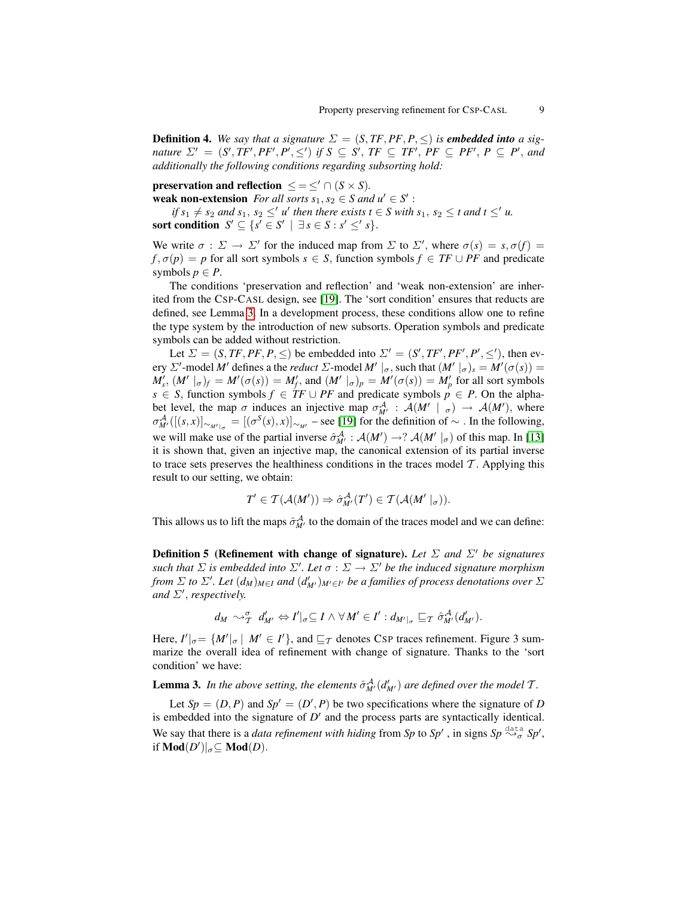**Definition 4.** We say that a signature  $\Sigma = (S, TF, PF, P, \leq)$  is **embedded into** a sig*nature*  $\Sigma' = (S', TF', PF', P', \leq')$  *if*  $S \subseteq S', TF \subseteq TF', PF \subseteq PF', P \subseteq P'$ , and *additionally the following conditions regarding subsorting hold:*

preservation and reflection  $\leq = \leq' \cap (S \times S)$ . weak non-extension *For all sorts*  $s_1, s_2 \in S$  *and*  $u' \in S'$ :

*if*  $s_1 \neq s_2$  *and*  $s_1$ ,  $s_2 \leq' u'$  *then there exists*  $t \in S$  *with*  $s_1$ ,  $s_2 \leq t$  *and*  $t \leq' u$ . sort condition  $S' \subseteq \{s' \in S' \mid \exists s \in S : s' \leq s\}.$ 

We write  $\sigma : \Sigma \to \Sigma'$  for the induced map from  $\Sigma$  to  $\Sigma'$ , where  $\sigma(s) = s$ ,  $\sigma(f) =$  $f, \sigma(p) = p$  for all sort symbols  $s \in S$ , function symbols  $f \in TF \cup PF$  and predicate symbols  $p \in P$ .

The conditions 'preservation and reflection' and 'weak non-extension' are inherited from the CSP-CASL design, see [\[19\]](#page-14-1). The 'sort condition' ensures that reducts are defined, see Lemma [3.](#page-8-0) In a development process, these conditions allow one to refine the type system by the introduction of new subsorts. Operation symbols and predicate symbols can be added without restriction.

Let  $\Sigma = (S, TF, PF, P, \leq)$  be embedded into  $\Sigma' = (S', TF', PF', P', \leq'),$  then every  $\Sigma'$ -model *M'* defines a the *reduct*  $\Sigma$ -model *M'*  $|_{\sigma}$ , such that  $(M' |_{\sigma})_s = M'(\sigma(s)) =$  $M'_{s}$ ,  $(M' \mid_{\sigma})_f = M'(\sigma(s)) = M'_{f}$ , and  $(M' \mid_{\sigma})_p = M'(\sigma(s)) = M'_{p}$  for all sort symbols *s* ∈ *S*, function symbols  $f$  ∈ *TF* ∪ *PF* and predicate symbols  $p$  ∈ *P*. On the alphabet level, the map  $\sigma$  induces an injective map  $\sigma_{M'}^{\mathcal{A}}$  :  $\mathcal{A}(M' \mid \sigma) \to \mathcal{A}(M')$ , where  $\sigma_{M}^{\mathcal{A}}([(s,x)]_{\sim_{M'|_{\sigma}}} = [(\sigma^S(s),x)]_{\sim_{M'}}$  – see [\[19\]](#page-14-1) for the definition of  $\sim$  . In the following, we will make use of the partial inverse  $\hat{\sigma}_{M'}^{\mathcal{A}}$ :  $\mathcal{A}(M') \to ?$   $\mathcal{A}(M' \mid_{\sigma})$  of this map. In [\[13\]](#page-14-8) it is shown that, given an injective map, the canonical extension of its partial inverse to trace sets preserves the healthiness conditions in the traces model  $T$ . Applying this result to our setting, we obtain:

$$
T' \in \mathcal{T}(\mathcal{A}(M')) \Rightarrow \hat{\sigma}_{M'}^{\mathcal{A}}(T') \in \mathcal{T}(\mathcal{A}(M' \mid_{\sigma})).
$$

This allows us to lift the maps  $\hat{\sigma}_{M'}^{\mathcal{A}}$  to the domain of the traces model and we can define:

**Definition 5 (Refinement with change of signature).** Let  $\Sigma$  and  $\Sigma'$  be signatures *such that*  $\Sigma$  *is embedded into*  $\Sigma'$ *. Let*  $\sigma : \Sigma \to \Sigma'$  *be the induced signature morphism from*  $\Sigma$  *to*  $\Sigma'$ *. Let*  $(d_M)_{M \in I}$  *and*  $(d_M')_{M' \in I'}$  *be a families of process denotations over*  $\Sigma$ and  $\Sigma'$ , *respectively.* 

<span id="page-8-0"></span>
$$
d_M \rightsquigarrow_{\mathcal{T}}^{\sigma} d'_{M'} \Leftrightarrow I'|_{\sigma} \subseteq I \wedge \forall M' \in I': d_{M'|_{\sigma}} \sqsubseteq_{\mathcal{T}} \hat{\sigma}^{\mathcal{A}}_{M'}(d'_{M'}).
$$

Here,  $I' \big|_{\sigma} = \{ M' \big|_{\sigma} \mid M' \in I' \}$ , and  $\sqsubseteq_{\mathcal{T}}$  denotes CSP traces refinement. Figure 3 summarize the overall idea of refinement with change of signature. Thanks to the 'sort condition' we have:

**Lemma 3.** In the above setting, the elements  $\hat{\sigma}_{M}^{A}$  ( $d'_{M'}$ ) are defined over the model T.

<span id="page-8-1"></span>Let  $Sp = (D, P)$  and  $Sp' = (D', P)$  be two specifications where the signature of *D* is embedded into the signature of  $D'$  and the process parts are syntactically identical. We say that there is a *data refinement with hiding* from Sp to Sp', in signs Sp  $\stackrel{\text{data}}{\leadsto_{\sigma}}$  Sp', if **Mod** $(D')|_{\sigma} \subseteq \textbf{Mod}(D)$ .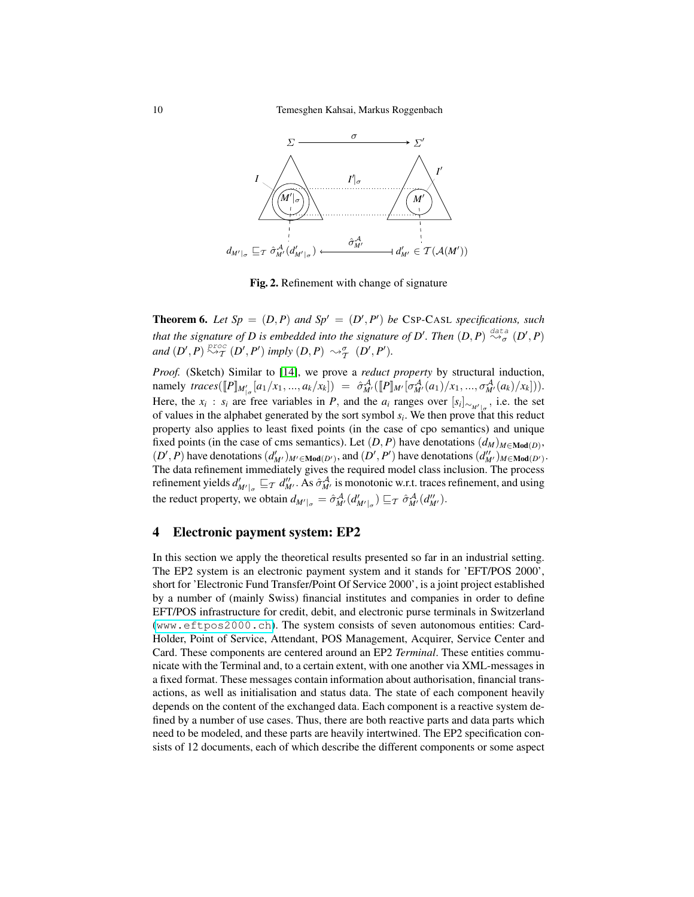

Fig. 2. Refinement with change of signature

**Theorem 6.** Let  $Sp = (D, P)$  and  $Sp' = (D', P')$  be CSP-CASL specifications, such *that the signature of D is embedded into the signature of D'. Then*  $(D, P) \stackrel{\text{data}}{\leadsto_{\sigma}} (D', P)$  $and (D', P) \stackrel{proc}{\sim} \tau (D', P')$  *imply*  $(D, P) \sim_{\tau}^{\sigma} (D', P').$ 

*Proof.* (Sketch) Similar to [\[14\]](#page-14-20), we prove a *reduct property* by structural induction, namely  $trace([\![P]\!]_{M'_{\sigma}}[a_1/x_1,...,a_k/x_k]) = \hat{\sigma}_{M'}^{\mathcal{A}}([\![P]\!]_{M'}[\sigma_{M'}^{\mathcal{A}}(a_1)/x_1,...,\sigma_{M'}^{\mathcal{A}}(a_k)/x_k])).$ Here, the  $x_i$ :  $s_i$  are free variables in *P*, and the  $a_i$  ranges over  $[s_i]_{\sim_{M'|_{\sigma}}}$ , i.e. the set of values in the alphabet generated by the sort symbol *s<sup>i</sup>* . We then prove that this reduct property also applies to least fixed points (in the case of cpo semantics) and unique fixed points (in the case of cms semantics). Let  $(D, P)$  have denotations  $(d_M)_{M \in \text{Mod}(D)}$ ,  $(D', P)$  have denotations  $(d'_{M'})_{M' \in \text{Mod}(D')}$ , and  $(D', P')$  have denotations  $(d''_{M'})_{M \in \text{Mod}(D')}$ . The data refinement immediately gives the required model class inclusion. The process refinement yields  $d'_{M'|\sigma} \sqsubseteq_T d''_{M'}$ . As  $\hat{\sigma}^{\mathcal{A}}_{M'}$  is monotonic w.r.t. traces refinement, and using the reduct property, we obtain  $d_{M'|\sigma} = \hat{\sigma}_{M'}^{\mathcal{A}}(d'_{M'|\sigma}) \sqsubseteq_{\mathcal{T}} \hat{\sigma}_{M'}^{\mathcal{A}}(d''_{M'}).$ 

## <span id="page-9-0"></span>4 Electronic payment system: EP2

In this section we apply the theoretical results presented so far in an industrial setting. The EP2 system is an electronic payment system and it stands for 'EFT/POS 2000', short for 'Electronic Fund Transfer/Point Of Service 2000', is a joint project established by a number of (mainly Swiss) financial institutes and companies in order to define EFT/POS infrastructure for credit, debit, and electronic purse terminals in Switzerland (<www.eftpos2000.ch>). The system consists of seven autonomous entities: Card-Holder, Point of Service, Attendant, POS Management, Acquirer, Service Center and Card. These components are centered around an EP2 *Terminal*. These entities communicate with the Terminal and, to a certain extent, with one another via XML-messages in a fixed format. These messages contain information about authorisation, financial transactions, as well as initialisation and status data. The state of each component heavily depends on the content of the exchanged data. Each component is a reactive system defined by a number of use cases. Thus, there are both reactive parts and data parts which need to be modeled, and these parts are heavily intertwined. The EP2 specification consists of 12 documents, each of which describe the different components or some aspect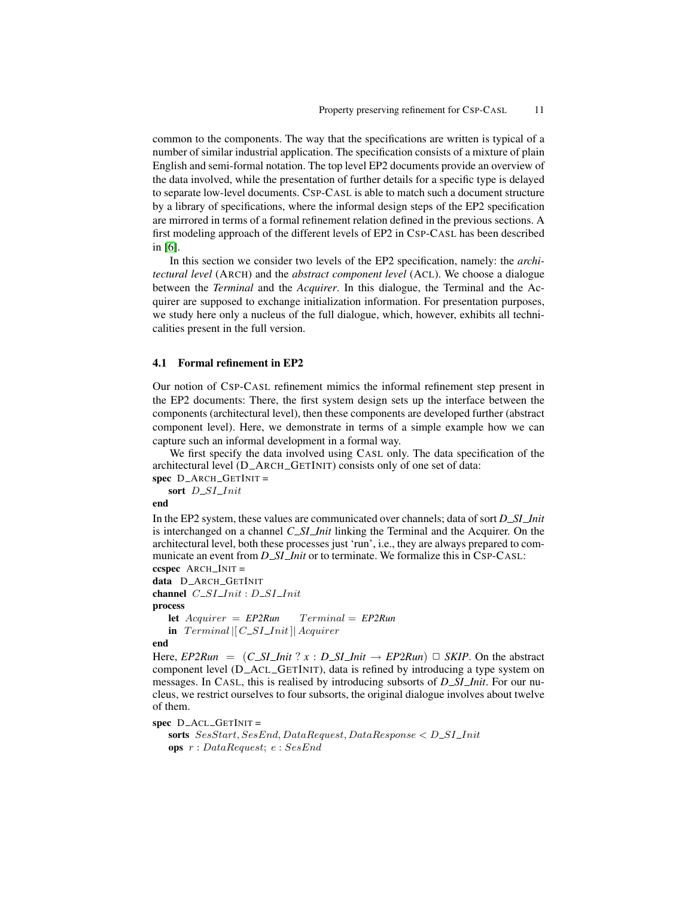common to the components. The way that the specifications are written is typical of a number of similar industrial application. The specification consists of a mixture of plain English and semi-formal notation. The top level EP2 documents provide an overview of the data involved, while the presentation of further details for a specific type is delayed to separate low-level documents. CSP-CASL is able to match such a document structure by a library of specifications, where the informal design steps of the EP2 specification are mirrored in terms of a formal refinement relation defined in the previous sections. A first modeling approach of the different levels of EP2 in CSP-CASL has been described in [\[6\]](#page-14-9).

In this section we consider two levels of the EP2 specification, namely: the *architectural level* (ARCH) and the *abstract component level* (ACL). We choose a dialogue between the *Terminal* and the *Acquirer*. In this dialogue, the Terminal and the Acquirer are supposed to exchange initialization information. For presentation purposes, we study here only a nucleus of the full dialogue, which, however, exhibits all technicalities present in the full version.

#### 4.1 Formal refinement in EP2

Our notion of CSP-CASL refinement mimics the informal refinement step present in the EP2 documents: There, the first system design sets up the interface between the components (architectural level), then these components are developed further (abstract component level). Here, we demonstrate in terms of a simple example how we can capture such an informal development in a formal way.

We first specify the data involved using CASL only. The data specification of the architectural level (D\_ARCH\_GETINIT) consists only of one set of data:

 $spec$  D\_ARCH\_GETINIT =

sort D\_SI\_Init

end

In the EP2 system, these values are communicated over channels; data of sort *D SI Init* is interchanged on a channel *C SI Init* linking the Terminal and the Acquirer. On the architectural level, both these processes just 'run', i.e., they are always prepared to communicate an event from *D\_SI\_Init* or to terminate. We formalize this in CSP-CASL: ccspec  $ARCH$  INIT =

data D\_ARCH\_GETINIT channel  $C\_SI\_Init : D\_SI\_Init$ process  $let$   $Acquire$   $=$   $EP2Run$   $Terminal$   $=$   $EP2Run$ in  $Terminal || C\_SI\_Init || Acquirer$ 

#### end

Here,  $E P2Run = (C\_S I\_Init ? x : D\_S I\_Init \rightarrow E P2Run) \square SKIP$ . On the abstract component level (D ACL GETINIT), data is refined by introducing a type system on messages. In CASL, this is realised by introducing subsorts of *D SI Init*. For our nucleus, we restrict ourselves to four subsorts, the original dialogue involves about twelve of them.

 $spec$  D\_ACL\_GETINIT =

sorts  $SesStart, SesEnd, DataRequest, DataResponse < D\_SI\_Init$ ops r : DataRequest; e : SesEnd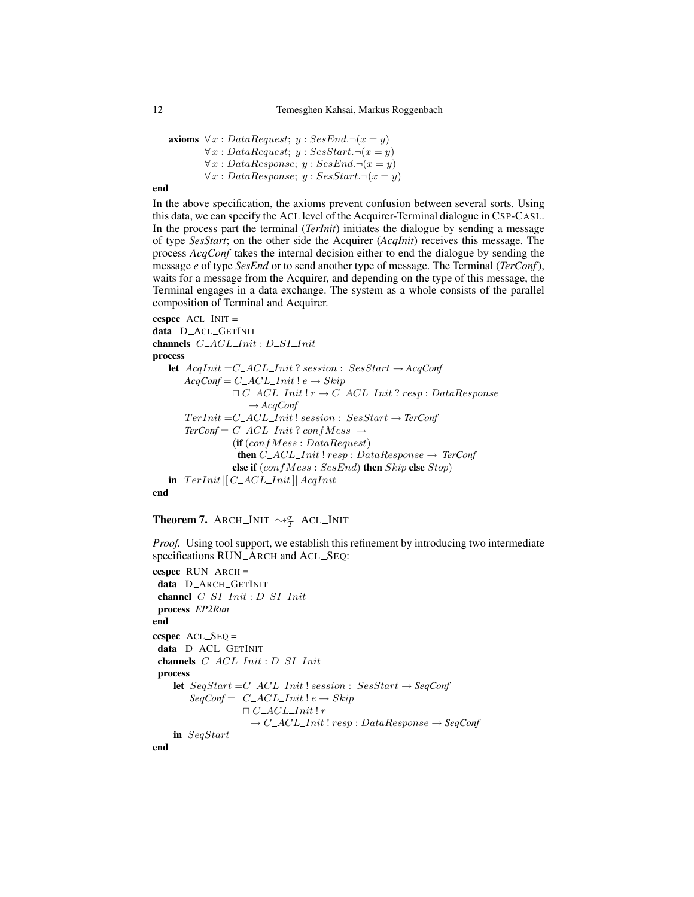axioms  $\forall x : DataRequest; y : SesEnd. \neg(x = y)$  $\forall x : DataRequest; y : SesStart. \neg(x = y)$  $\forall x : DataResponse; y : SesEnd. \neg(x = y)$  $\forall x : DataResponse; y : SesStart. \neg(x = y)$ 

#### end

In the above specification, the axioms prevent confusion between several sorts. Using this data, we can specify the ACL level of the Acquirer-Terminal dialogue in CSP-CASL. In the process part the terminal (*TerInit*) initiates the dialogue by sending a message of type *SesStart*; on the other side the Acquirer (*AcqInit*) receives this message. The process *AcqConf* takes the internal decision either to end the dialogue by sending the message *e* of type *SesEnd* or to send another type of message. The Terminal (*TerConf*), waits for a message from the Acquirer, and depending on the type of this message, the Terminal engages in a data exchange. The system as a whole consists of the parallel composition of Terminal and Acquirer.

```
ccspec ACL INIT =
data D_ACL_GETINIT
channels C\_ACL\_Init : D\_SI\_Initprocess
   let AcqInit =C ACL Init ? session : SesStart → AcqConf
      AcqConf = C \_ACL \_Init! e \rightarrow Skip\Box C_ACL_Init ! r \to C_ACL_Init ? resp : DataResponse
                     → AcqConf
       T erInit =C ACL Init ! session : SesStart → TerConf
       TerConf = C \_A CL\_Init? confMessage \rightarrow(i\mathbf{f}(confMessage : DataRequest)then C\_ACL\_Init ! resp : DataResponse \rightarrow TerConfelse if (confMessage : SesEnd) then skip else Stop)in Ternit || C_A CL_Init || AcqInit
```
#### end

# **Theorem 7.** ARCH\_INIT  $\rightsquigarrow^{\sigma}_{\mathcal{I}}$  ACL\_INIT

*Proof.* Using tool support, we establish this refinement by introducing two intermediate specifications RUN\_ARCH and ACL\_SEQ:

```
ccspec RUN_ARCH =data D_ARCH_GETINIT
 channel C\_SI\_Init: D\_SI\_Initprocess EP2Run
end
ccspec ACL SEQ =
data D_ACL_GETINIT
 channels C\_ACL\_Init : D\_SI\_Initprocess
    let SeqStart =C ACL Init ! session : SesStart → SeqConf
        SeqConf = C \_ACL\_Init! e \rightarrow Skip\sqcap C\_ACL\_Init! r
                     \rightarrow C\_ACL\_Init! resp : DataResponse \rightarrow SeqConfin SeqStart
```
end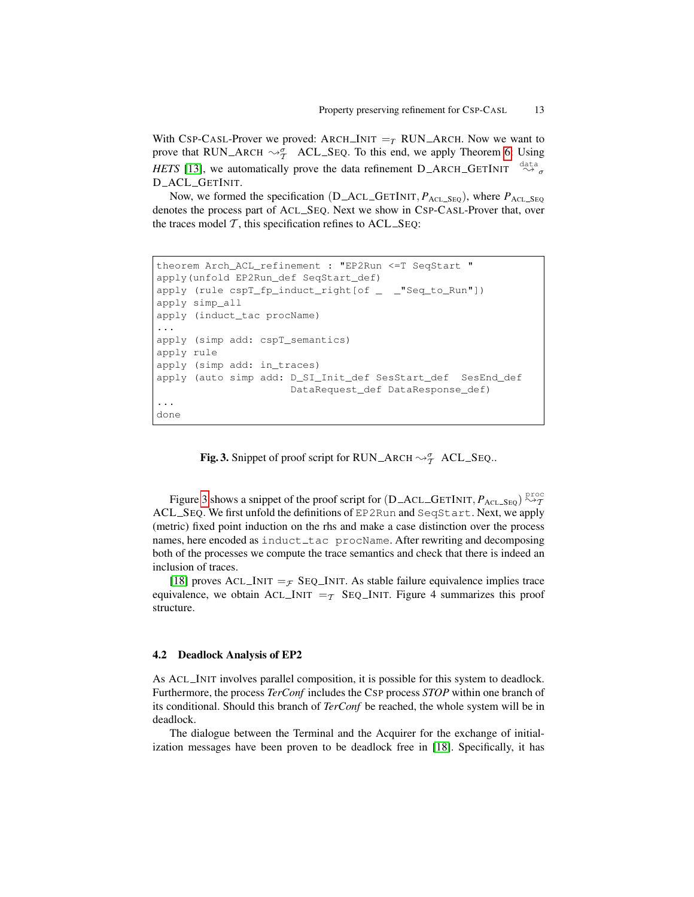With CSP-CASL-Prover we proved: ARCH\_INIT  $=_T$  RUN\_ARCH. Now we want to prove that RUN\_ARCH  $\sim_{\mathcal{T}}^{\sigma}$  ACL\_SEQ. To this end, we apply Theorem [6:](#page-8-1) Using *HETS* [\[13\]](#page-14-8), we automatically prove the data refinement  $D_A RCH_GETINT \overset{\text{data}}{\rightsquigarrow_{\sigma}}$ D ACL GETINIT.

Now, we formed the specification (D\_ACL\_GETINIT,  $P_{\text{ACL\_SEQ}}$ ), where  $P_{\text{ACL\_SEQ}}$ denotes the process part of ACL SEQ. Next we show in CSP-CASL-Prover that, over the traces model  $T$ , this specification refines to  $ACL\_SEQ$ :

```
theorem Arch_ACL_refinement : "EP2Run <=T SeqStart "
apply(unfold EP2Run_def SeqStart_def)
apply (rule cspT_fp_induct_right[of _ _"Seq_to_Run"])
apply simp_all
apply (induct_tac procName)
...
apply (simp add: cspT_semantics)
apply rule
apply (simp add: in_traces)
apply (auto simp add: D_SI_Init_def SesStart_def SesEnd_def
                      DataRequest_def DataResponse_def)
...
done
```
<span id="page-12-0"></span>Fig. 3. Snippet of proof script for RUN\_ARCH  $\rightsquigarrow^{\sigma}_{\mathcal{T}}$  ACL\_SEQ..

Figure [3](#page-12-0) shows a snippet of the proof script for  $(D\_ACL\_GETINIT, P_{ACL\_SEQ}) \overset{\text{proc}}{\leadsto} T$ ACL SEQ. We first unfold the definitions of EP2Run and SeqStart. Next, we apply (metric) fixed point induction on the rhs and make a case distinction over the process names, here encoded as induct\_tac procName. After rewriting and decomposing both of the processes we compute the trace semantics and check that there is indeed an inclusion of traces.

[\[18\]](#page-14-12) proves ACL INIT =  $\mathcal{F}$  SEQ INIT. As stable failure equivalence implies trace equivalence, we obtain ACL INIT  $=\tau$  SEQ INIT. Figure 4 summarizes this proof structure.

### 4.2 Deadlock Analysis of EP2

As ACL INIT involves parallel composition, it is possible for this system to deadlock. Furthermore, the process *TerConf* includes the CSP process *STOP* within one branch of its conditional. Should this branch of *TerConf* be reached, the whole system will be in deadlock.

The dialogue between the Terminal and the Acquirer for the exchange of initialization messages have been proven to be deadlock free in [\[18\]](#page-14-12). Specifically, it has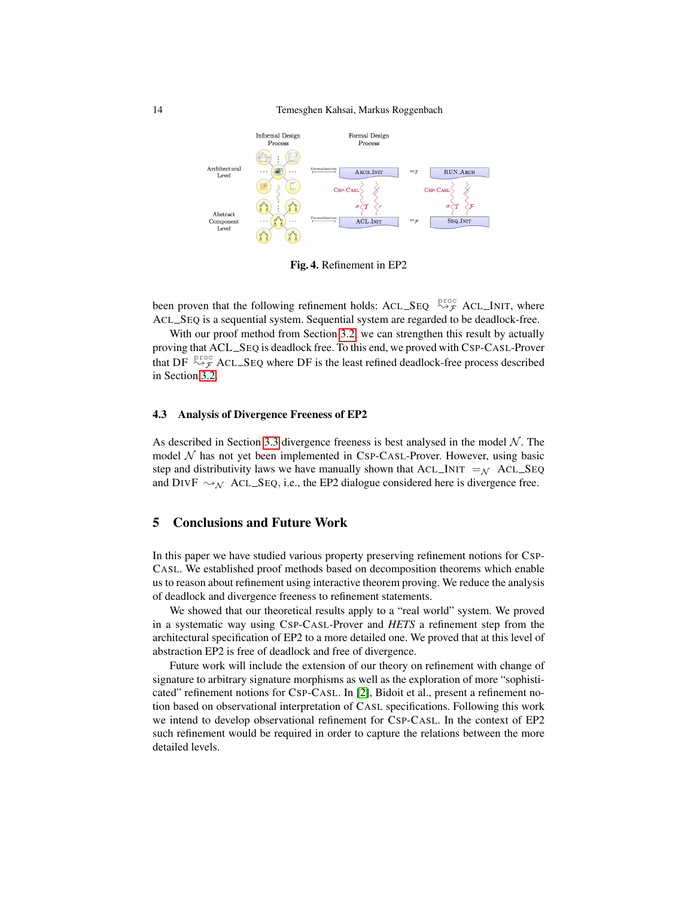

Fig. 4. Refinement in EP2

been proven that the following refinement holds: ACL\_SEQ  $\overset{\text{proc}}{\rightsquigarrow}$  ACL\_INIT, where ACL SEQ is a sequential system. Sequential system are regarded to be deadlock-free.

With our proof method from Section [3.2,](#page-4-1) we can strengthen this result by actually proving that ACL SEQ is deadlock free. To this end, we proved with CSP-CASL-Prover that DF  $\stackrel{\text{proc}}{\rightsquigarrow}$  ACL\_SEQ where DF is the least refined deadlock-free process described in Section [3.2.](#page-4-1)

#### 4.3 Analysis of Divergence Freeness of EP2

As described in Section [3.3](#page-6-2) divergence freeness is best analysed in the model  $N$ . The model  $N$  has not yet been implemented in CSP-CASL-Prover. However, using basic step and distributivity laws we have manually shown that  $ACL\_INIT =_{N} ACL\_SEQ$ and DIVF  $\sim_{\mathcal{N}}$  ACL SEQ, i.e., the EP2 dialogue considered here is divergence free.

# 5 Conclusions and Future Work

In this paper we have studied various property preserving refinement notions for CSP-CASL. We established proof methods based on decomposition theorems which enable us to reason about refinement using interactive theorem proving. We reduce the analysis of deadlock and divergence freeness to refinement statements.

We showed that our theoretical results apply to a "real world" system. We proved in a systematic way using CSP-CASL-Prover and *HETS* a refinement step from the architectural specification of EP2 to a more detailed one. We proved that at this level of abstraction EP2 is free of deadlock and free of divergence.

Future work will include the extension of our theory on refinement with change of signature to arbitrary signature morphisms as well as the exploration of more "sophisticated" refinement notions for CSP-CASL. In [\[2\]](#page-14-21), Bidoit et al., present a refinement notion based on observational interpretation of CASL specifications. Following this work we intend to develop observational refinement for CSP-CASL. In the context of EP2 such refinement would be required in order to capture the relations between the more detailed levels.